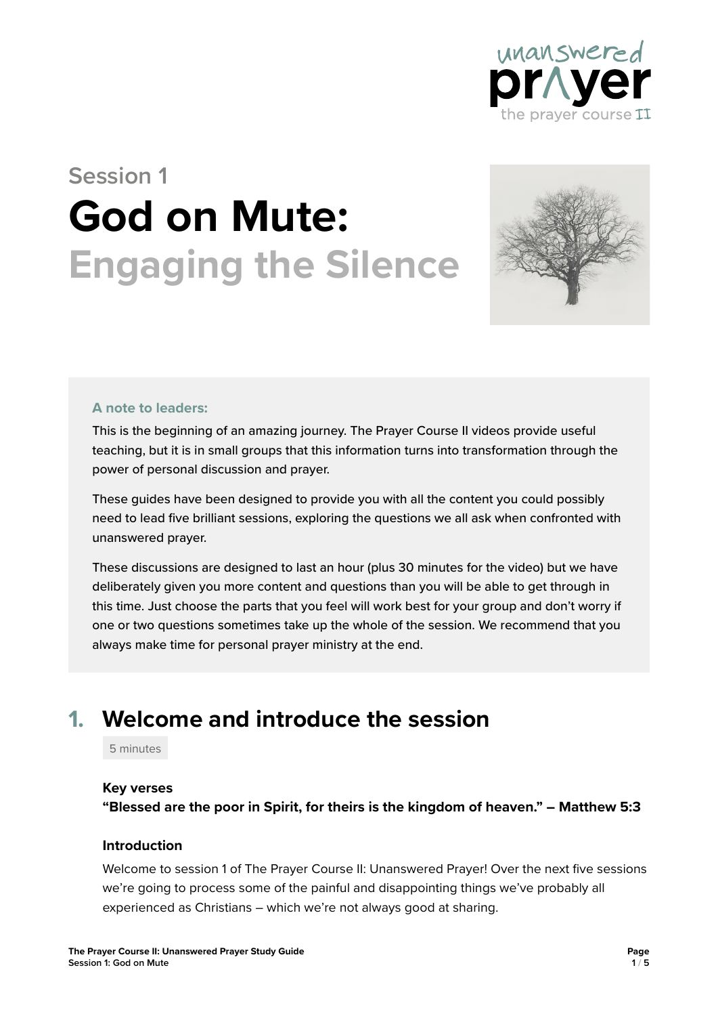

# **Session 1 God on Mute: Engaging the Silence**



#### **A note to leaders:**

This is the beginning of an amazing journey. The Prayer Course II videos provide useful teaching, but it is in small groups that this information turns into transformation through the power of personal discussion and prayer.

These guides have been designed to provide you with all the content you could possibly need to lead five brilliant sessions, exploring the questions we all ask when confronted with unanswered prayer.

These discussions are designed to last an hour (plus 30 minutes for the video) but we have deliberately given you more content and questions than you will be able to get through in this time. Just choose the parts that you feel will work best for your group and don't worry if one or two questions sometimes take up the whole of the session. We recommend that you always make time for personal prayer ministry at the end.

# **1. Welcome and introduce the session**

5 minutes

#### **Key verses**

**"Blessed are the poor in Spirit, for theirs is the kingdom of heaven." – Matthew 5:3**

#### **Introduction**

Welcome to session 1 of The Prayer Course II: Unanswered Prayer! Over the next five sessions we're going to process some of the painful and disappointing things we've probably all experienced as Christians – which we're not always good at sharing.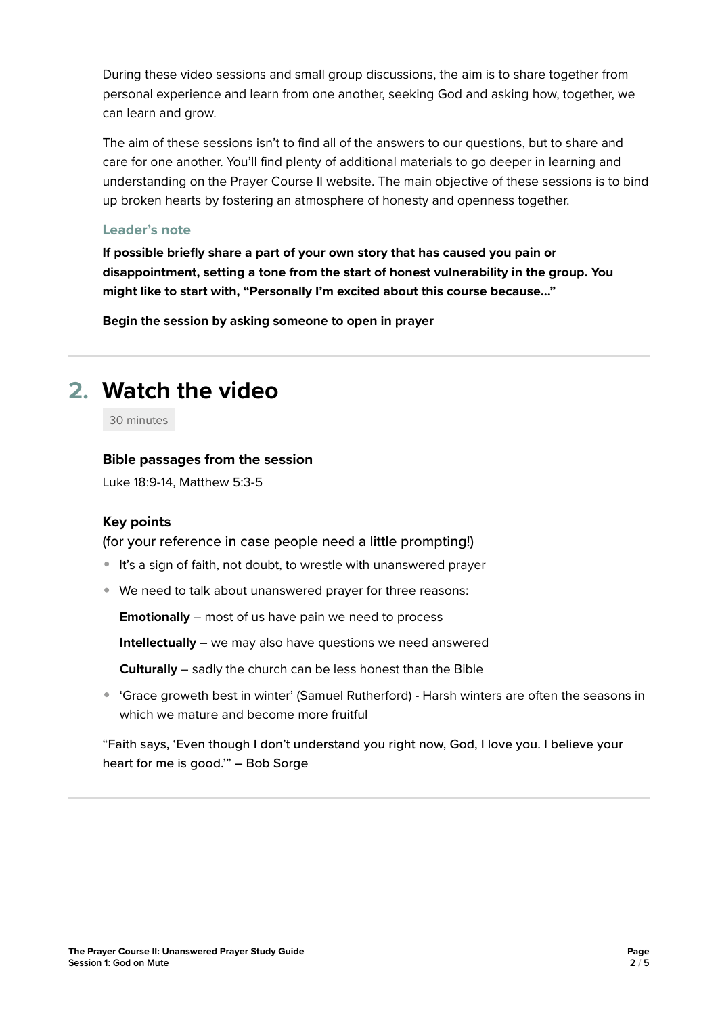During these video sessions and small group discussions, the aim is to share together from personal experience and learn from one another, seeking God and asking how, together, we can learn and grow.

The aim of these sessions isn't to find all of the answers to our questions, but to share and care for one another. You'll find plenty of additional materials to go deeper in learning and understanding on the Prayer Course II website. The main objective of these sessions is to bind up broken hearts by fostering an atmosphere of honesty and openness together.

#### **Leader's note**

**If possible briefly share a part of your own story that has caused you pain or disappointment, setting a tone from the start of honest vulnerability in the group. You might like to start with, "Personally I'm excited about this course because…"**

**Begin the session by asking someone to open in prayer**

# **2. Watch the video**

30 minutes

#### **Bible passages from the session**

Luke 18:9-14, Matthew 5:3-5

#### **Key points**

(for your reference in case people need a little prompting!)

- It's a sign of faith, not doubt, to wrestle with unanswered prayer
- We need to talk about unanswered prayer for three reasons:

**Emotionally** – most of us have pain we need to process

**Intellectually** – we may also have questions we need answered

**Culturally** – sadly the church can be less honest than the Bible

 'Grace groweth best in winter' (Samuel Rutherford) - Harsh winters are often the seasons in which we mature and become more fruitful

"Faith says, 'Even though I don't understand you right now, God, I love you. I believe your heart for me is good.'" – Bob Sorge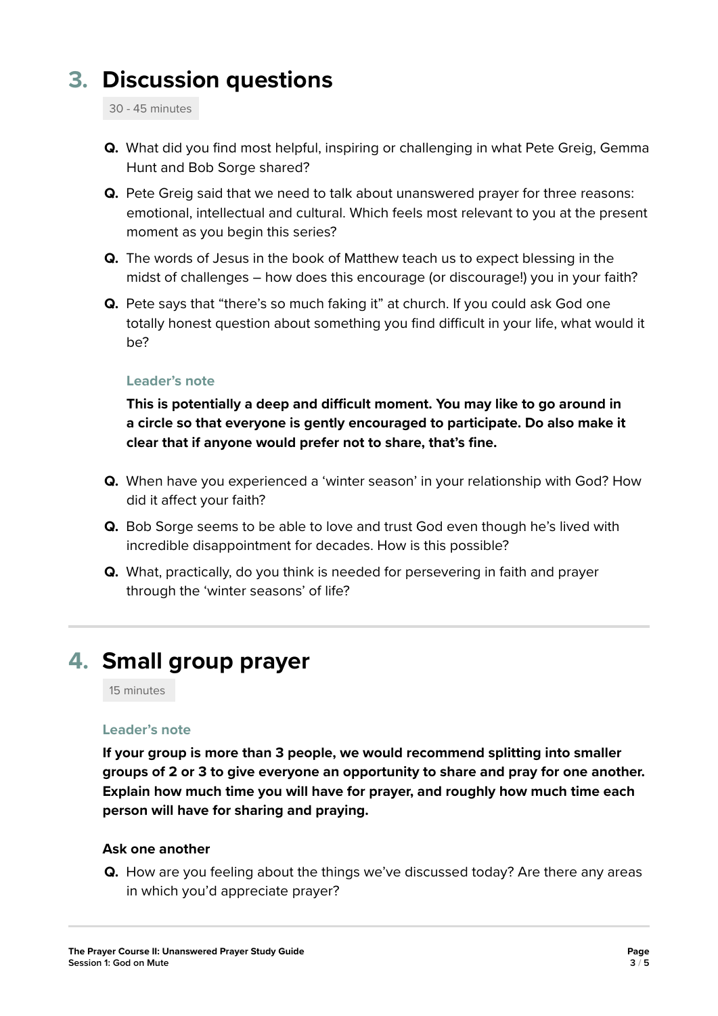# **3. Discussion questions**

30 - 45 minutes

- **Q.** What did you find most helpful, inspiring or challenging in what Pete Greig, Gemma Hunt and Bob Sorge shared?
- **Q.** Pete Greig said that we need to talk about unanswered prayer for three reasons: emotional, intellectual and cultural. Which feels most relevant to you at the present moment as you begin this series?
- **Q.** The words of Jesus in the book of Matthew teach us to expect blessing in the midst of challenges – how does this encourage (or discourage!) you in your faith?
- **Q.** Pete says that "there's so much faking it" at church. If you could ask God one totally honest question about something you find difficult in your life, what would it be?

#### **Leader's note**

**This is potentially a deep and difficult moment. You may like to go around in a circle so that everyone is gently encouraged to participate. Do also make it clear that if anyone would prefer not to share, that's fine.**

- **Q.** When have you experienced a 'winter season' in your relationship with God? How did it affect your faith?
- **Q.** Bob Sorge seems to be able to love and trust God even though he's lived with incredible disappointment for decades. How is this possible?
- **Q.** What, practically, do you think is needed for persevering in faith and prayer through the 'winter seasons' of life?

# **4. Small group prayer**

15 minutes

#### **Leader's note**

**If your group is more than 3 people, we would recommend splitting into smaller groups of 2 or 3 to give everyone an opportunity to share and pray for one another. Explain how much time you will have for prayer, and roughly how much time each person will have for sharing and praying.** 

#### **Ask one another**

**Q.** How are you feeling about the things we've discussed today? Are there any areas in which you'd appreciate prayer?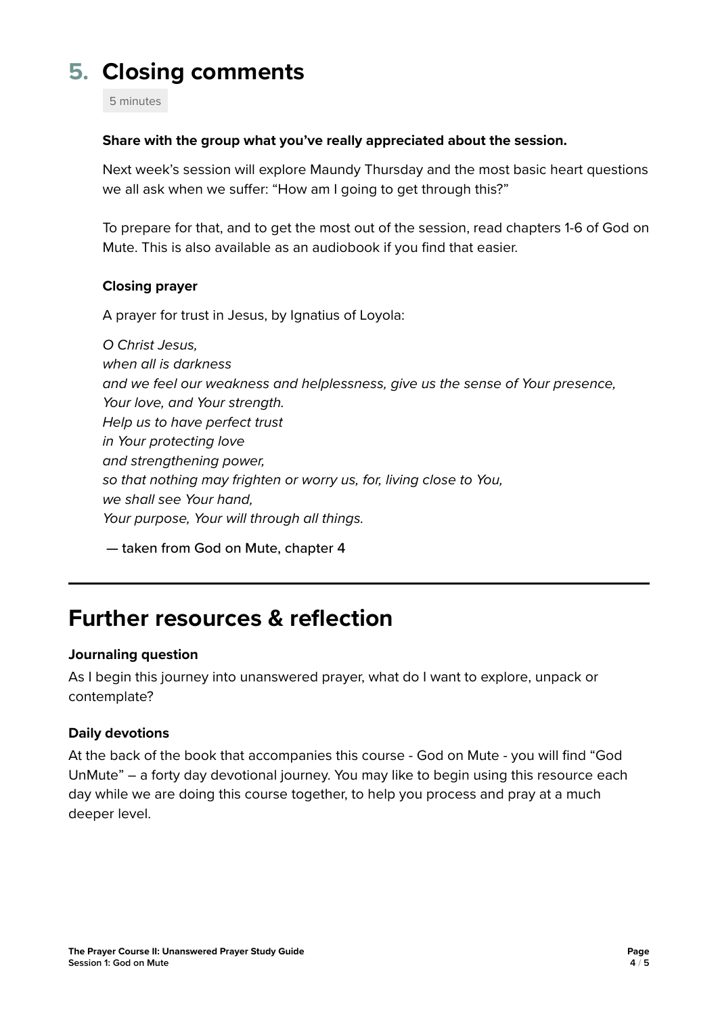# **5. Closing comments**

5 minutes

#### **Share with the group what you've really appreciated about the session.**

Next week's session will explore Maundy Thursday and the most basic heart questions we all ask when we suffer: "How am I going to get through this?"

To prepare for that, and to get the most out of the session, read chapters 1-6 of God on Mute. This is also available as an audiobook if you find that easier.

#### **Closing prayer**

A prayer for trust in Jesus, by Ignatius of Loyola:

*O Christ Jesus, when all is darkness and we feel our weakness and helplessness, give us the sense of Your presence, Your love, and Your strength. Help us to have perfect trust in Your protecting love and strengthening power, so that nothing may frighten or worry us, for, living close to You, we shall see Your hand, Your purpose, Your will through all things.* 

— taken from God on Mute, chapter 4

### **Further resources & reflection**

#### **Journaling question**

As I begin this journey into unanswered prayer, what do I want to explore, unpack or contemplate?

#### **Daily devotions**

At the back of the book that accompanies this course - God on Mute - you will find "God UnMute" – a forty day devotional journey. You may like to begin using this resource each day while we are doing this course together, to help you process and pray at a much deeper level.